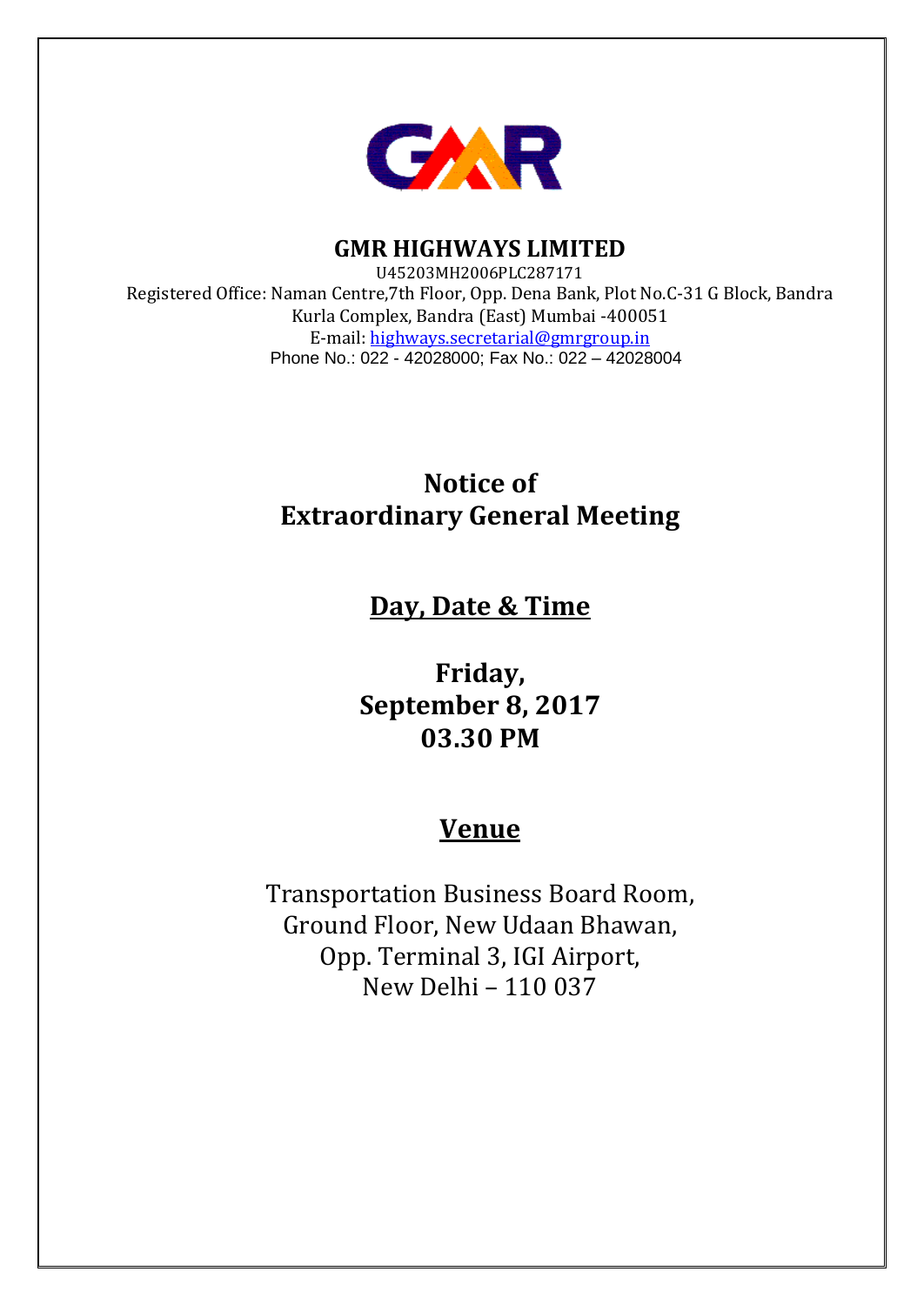

**GMR HIGHWAYS LIMITED**

U45203MH2006PLC287171 Registered Office: Naman Centre,7th Floor, Opp. Dena Bank, Plot No.C-31 G Block, Bandra Kurla Complex, Bandra (East) Mumbai -400051 E-mail: [highways.secretarial@gmrgroup.in](mailto:highways.secretarial@gmrgroup.in) Phone No.: 022 - 42028000; Fax No.: 022 – 42028004

# **Notice of Extraordinary General Meeting**

# **Day, Date & Time**

**Friday, September 8, 2017 03.30 PM**

# **Venue**

Transportation Business Board Room, Ground Floor, New Udaan Bhawan, Opp. Terminal 3, IGI Airport, New Delhi – 110 037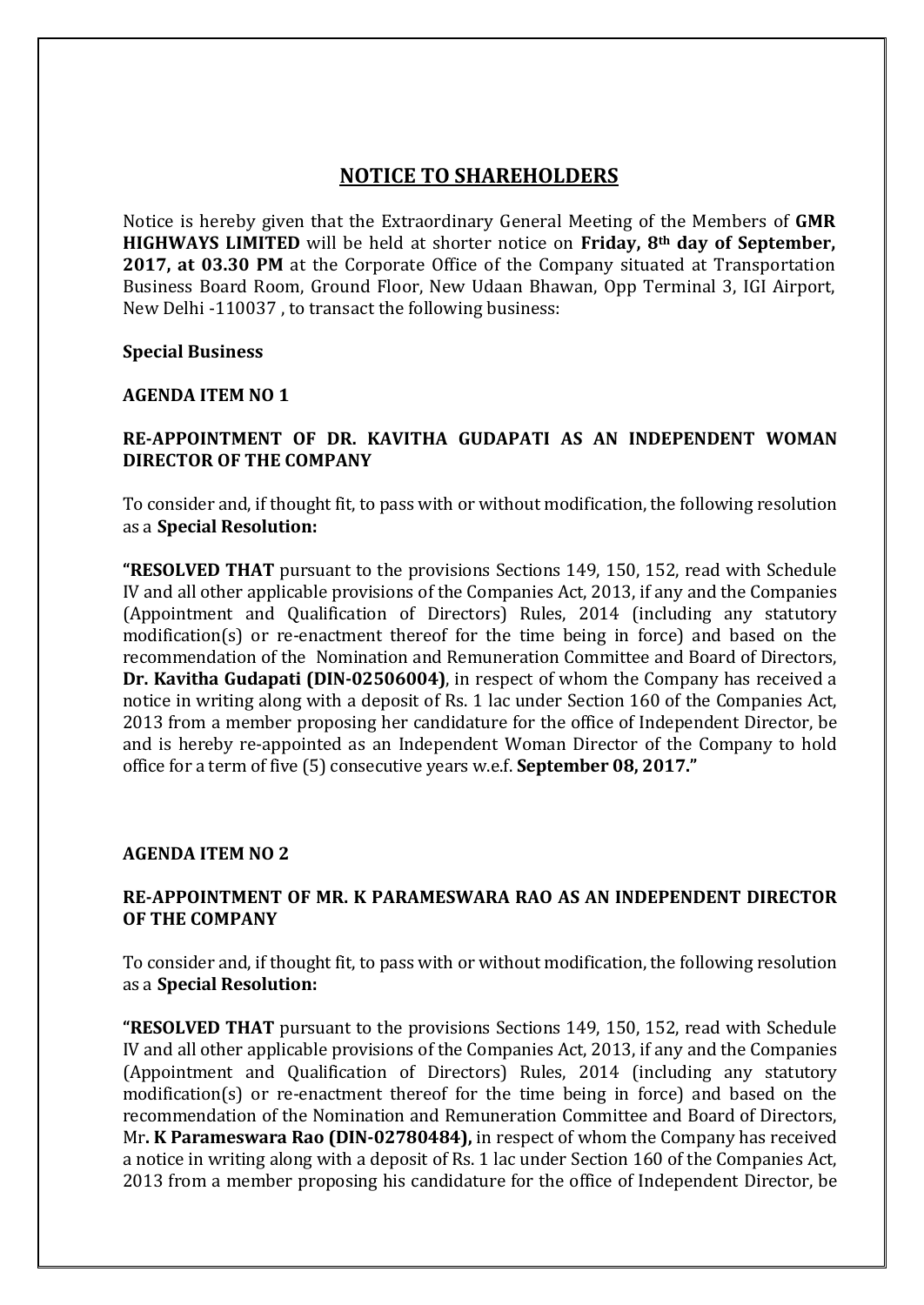# **NOTICE TO SHAREHOLDERS**

Notice is hereby given that the Extraordinary General Meeting of the Members of **GMR HIGHWAYS LIMITED** will be held at shorter notice on **Friday, 8th day of September, 2017, at 03.30 PM** at the Corporate Office of the Company situated at Transportation Business Board Room, Ground Floor, New Udaan Bhawan, Opp Terminal 3, IGI Airport, New Delhi -110037 , to transact the following business:

#### **Special Business**

#### **AGENDA ITEM NO 1**

## **RE-APPOINTMENT OF DR. KAVITHA GUDAPATI AS AN INDEPENDENT WOMAN DIRECTOR OF THE COMPANY**

To consider and, if thought fit, to pass with or without modification, the following resolution as a **Special Resolution:**

**"RESOLVED THAT** pursuant to the provisions Sections 149, 150, 152, read with Schedule IV and all other applicable provisions of the Companies Act, 2013, if any and the Companies (Appointment and Qualification of Directors) Rules, 2014 (including any statutory modification(s) or re-enactment thereof for the time being in force) and based on the recommendation of the Nomination and Remuneration Committee and Board of Directors, **Dr. Kavitha Gudapati (DIN-02506004)**, in respect of whom the Company has received a notice in writing along with a deposit of Rs. 1 lac under Section 160 of the Companies Act, 2013 from a member proposing her candidature for the office of Independent Director, be and is hereby re-appointed as an Independent Woman Director of the Company to hold office for a term of five (5) consecutive years w.e.f. **September 08, 2017."**

#### **AGENDA ITEM NO 2**

### **RE-APPOINTMENT OF MR. K PARAMESWARA RAO AS AN INDEPENDENT DIRECTOR OF THE COMPANY**

To consider and, if thought fit, to pass with or without modification, the following resolution as a **Special Resolution:**

**"RESOLVED THAT** pursuant to the provisions Sections 149, 150, 152, read with Schedule IV and all other applicable provisions of the Companies Act, 2013, if any and the Companies (Appointment and Qualification of Directors) Rules, 2014 (including any statutory modification(s) or re-enactment thereof for the time being in force) and based on the recommendation of the Nomination and Remuneration Committee and Board of Directors, Mr**. K Parameswara Rao (DIN-02780484),** in respect of whom the Company has received a notice in writing along with a deposit of Rs. 1 lac under Section 160 of the Companies Act, 2013 from a member proposing his candidature for the office of Independent Director, be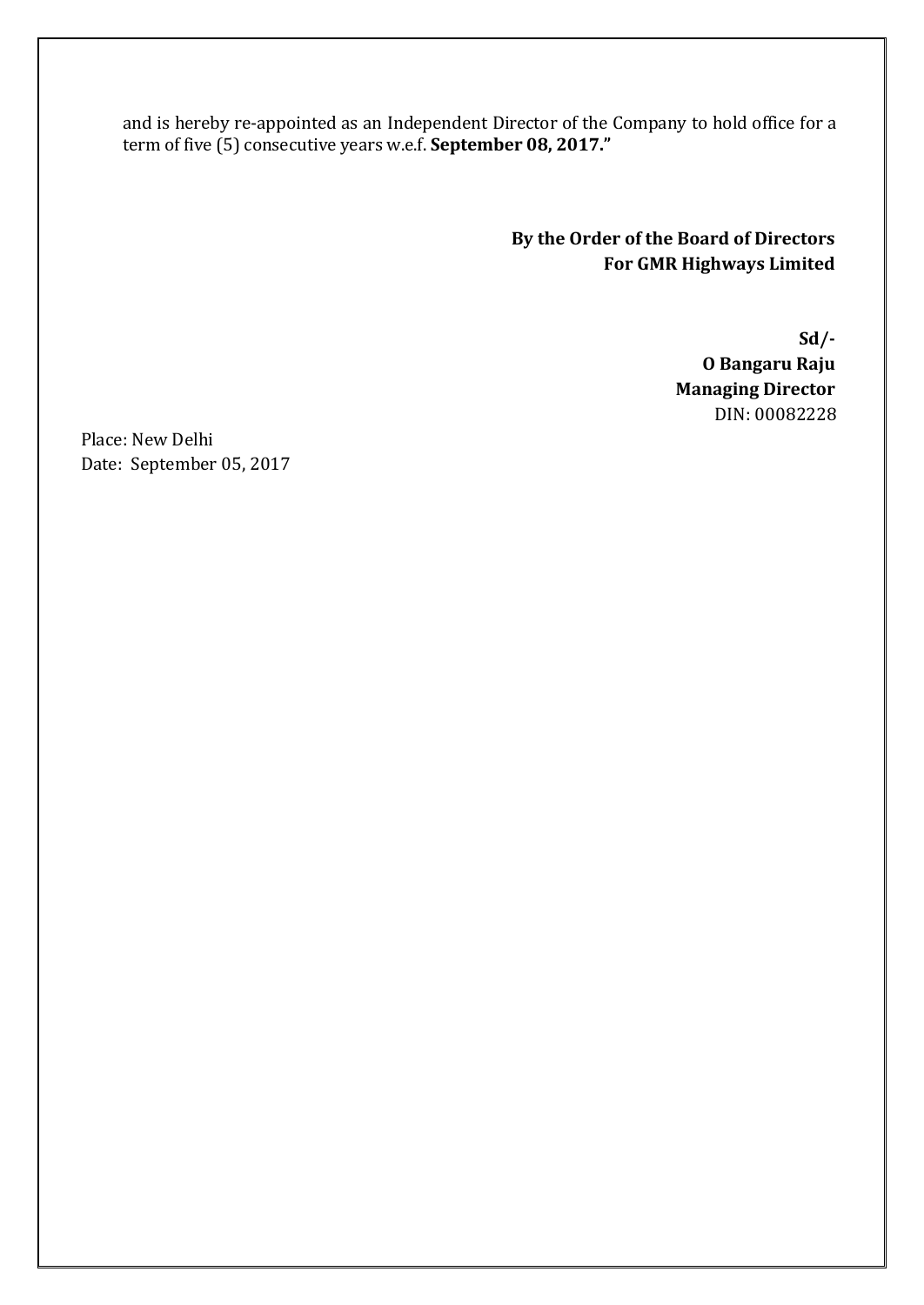and is hereby re-appointed as an Independent Director of the Company to hold office for a term of five (5) consecutive years w.e.f. **September 08, 2017."**

> **By the Order of the Board of Directors For GMR Highways Limited**

> > **Sd/- O Bangaru Raju Managing Director** DIN: 00082228

Place: New Delhi Date: September 05, 2017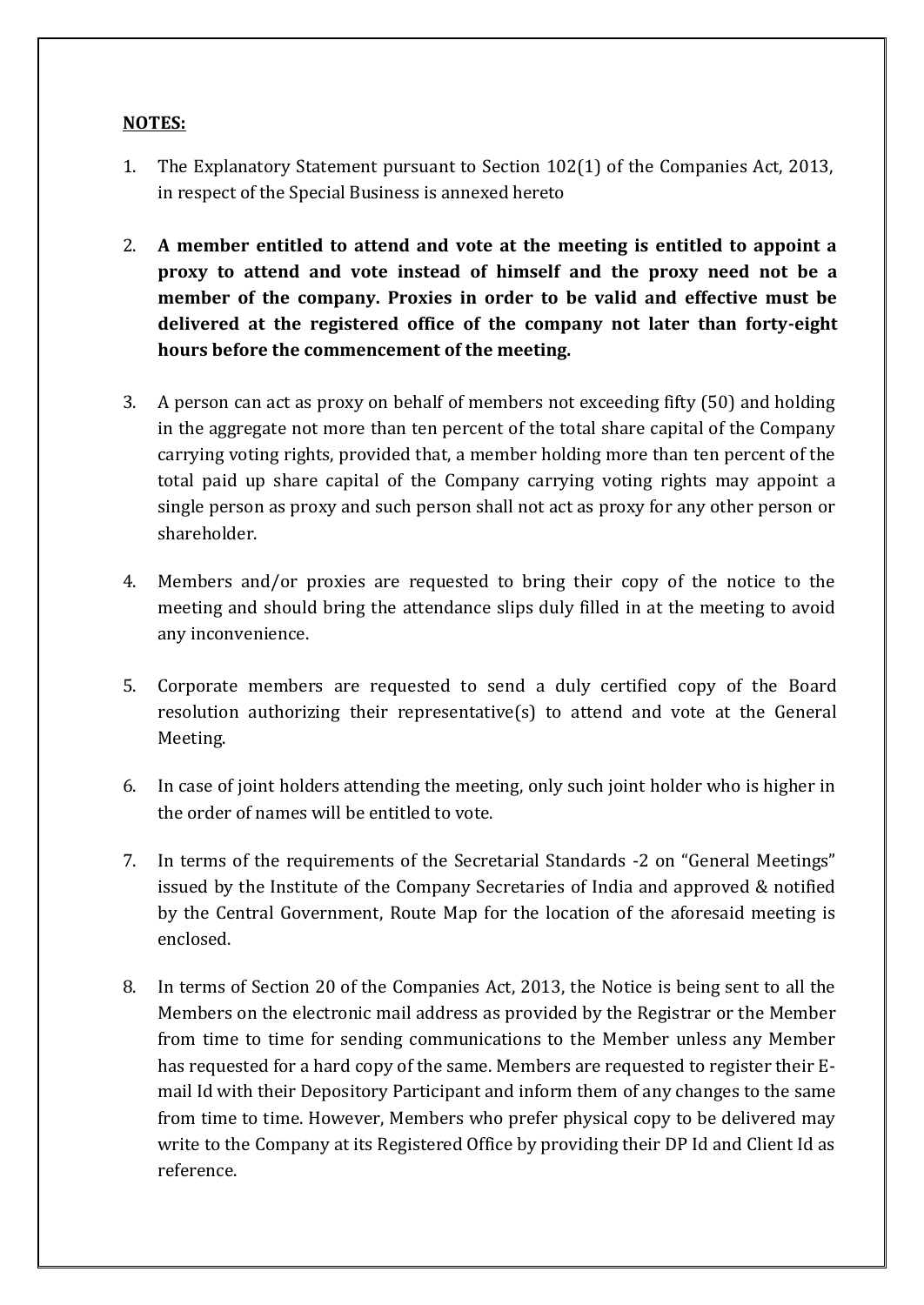# **NOTES:**

- 1. The Explanatory Statement pursuant to Section 102(1) of the Companies Act, 2013, in respect of the Special Business is annexed hereto
- 2. **A member entitled to attend and vote at the meeting is entitled to appoint a proxy to attend and vote instead of himself and the proxy need not be a member of the company. Proxies in order to be valid and effective must be delivered at the registered office of the company not later than forty-eight hours before the commencement of the meeting.**
- 3. A person can act as proxy on behalf of members not exceeding fifty (50) and holding in the aggregate not more than ten percent of the total share capital of the Company carrying voting rights, provided that, a member holding more than ten percent of the total paid up share capital of the Company carrying voting rights may appoint a single person as proxy and such person shall not act as proxy for any other person or shareholder.
- 4. Members and/or proxies are requested to bring their copy of the notice to the meeting and should bring the attendance slips duly filled in at the meeting to avoid any inconvenience.
- 5. Corporate members are requested to send a duly certified copy of the Board resolution authorizing their representative(s) to attend and vote at the General Meeting.
- 6. In case of joint holders attending the meeting, only such joint holder who is higher in the order of names will be entitled to vote.
- 7. In terms of the requirements of the Secretarial Standards -2 on "General Meetings" issued by the Institute of the Company Secretaries of India and approved & notified by the Central Government, Route Map for the location of the aforesaid meeting is enclosed.
- 8. In terms of Section 20 of the Companies Act, 2013, the Notice is being sent to all the Members on the electronic mail address as provided by the Registrar or the Member from time to time for sending communications to the Member unless any Member has requested for a hard copy of the same. Members are requested to register their Email Id with their Depository Participant and inform them of any changes to the same from time to time. However, Members who prefer physical copy to be delivered may write to the Company at its Registered Office by providing their DP Id and Client Id as reference.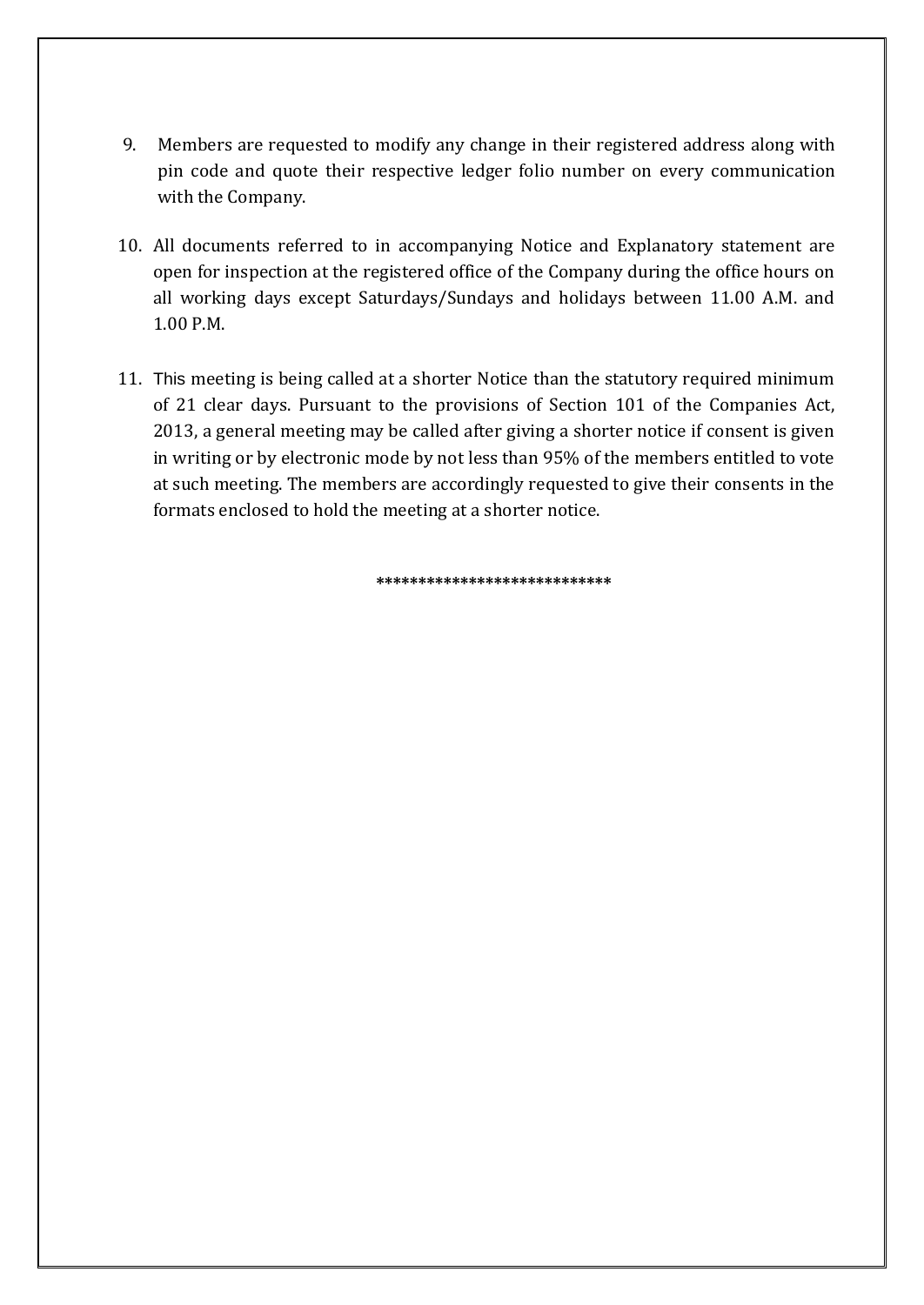- 9. Members are requested to modify any change in their registered address along with pin code and quote their respective ledger folio number on every communication with the Company.
- 10. All documents referred to in accompanying Notice and Explanatory statement are open for inspection at the registered office of the Company during the office hours on all working days except Saturdays/Sundays and holidays between 11.00 A.M. and 1.00 P.M.
- 11. This meeting is being called at a shorter Notice than the statutory required minimum of 21 clear days. Pursuant to the provisions of Section 101 of the Companies Act, 2013, a general meeting may be called after giving a shorter notice if consent is given in writing or by electronic mode by not less than 95% of the members entitled to vote at such meeting. The members are accordingly requested to give their consents in the formats enclosed to hold the meeting at a shorter notice.

**\*\*\*\*\*\*\*\*\*\*\*\*\*\*\*\*\*\*\*\*\*\*\*\*\*\*\*\***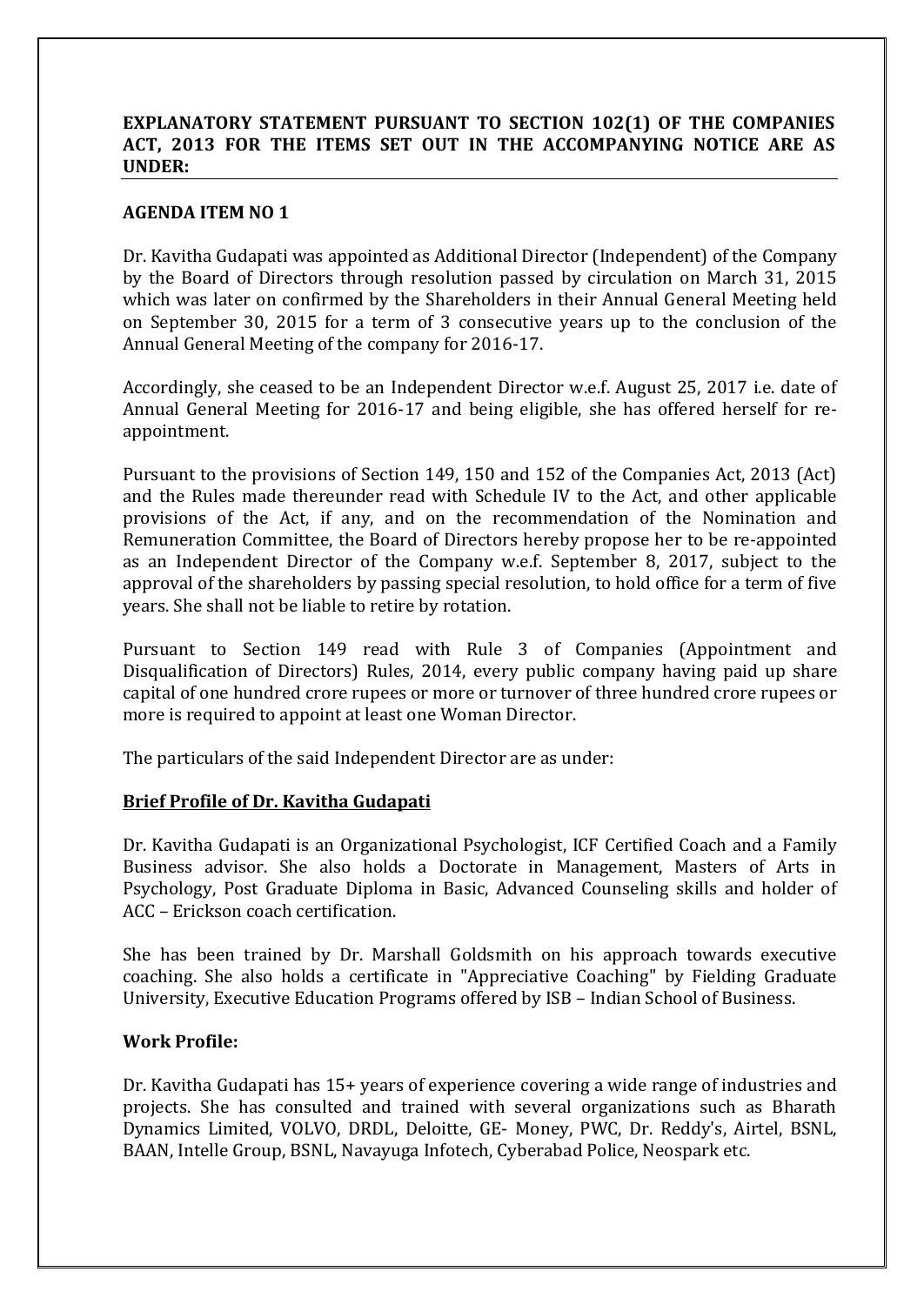## **EXPLANATORY STATEMENT PURSUANT TO SECTION 102(1) OF THE COMPANIES ACT, 2013 FOR THE ITEMS SET OUT IN THE ACCOMPANYING NOTICE ARE AS UNDER:**

## **AGENDA ITEM NO 1**

Dr. Kavitha Gudapati was appointed as Additional Director (Independent) of the Company by the Board of Directors through resolution passed by circulation on March 31, 2015 which was later on confirmed by the Shareholders in their Annual General Meeting held on September 30, 2015 for a term of 3 consecutive years up to the conclusion of the Annual General Meeting of the company for 2016-17.

Accordingly, she ceased to be an Independent Director w.e.f. August 25, 2017 i.e. date of Annual General Meeting for 2016-17 and being eligible, she has offered herself for reappointment.

Pursuant to the provisions of Section 149, 150 and 152 of the Companies Act, 2013 (Act) and the Rules made thereunder read with Schedule IV to the Act, and other applicable provisions of the Act, if any, and on the recommendation of the Nomination and Remuneration Committee, the Board of Directors hereby propose her to be re-appointed as an Independent Director of the Company w.e.f. September 8, 2017, subject to the approval of the shareholders by passing special resolution, to hold office for a term of five years. She shall not be liable to retire by rotation.

Pursuant to Section 149 read with Rule 3 of Companies (Appointment and Disqualification of Directors) Rules, 2014, every public company having paid up share capital of one hundred crore rupees or more or turnover of three hundred crore rupees or more is required to appoint at least one Woman Director.

The particulars of the said Independent Director are as under:

#### **Brief Profile of Dr. Kavitha Gudapati**

Dr. Kavitha Gudapati is an Organizational Psychologist, ICF Certified Coach and a Family Business advisor. She also holds a Doctorate in Management, Masters of Arts in Psychology, Post Graduate Diploma in Basic, Advanced Counseling skills and holder of ACC – Erickson coach certification.

She has been trained by Dr. Marshall Goldsmith on his approach towards executive coaching. She also holds a certificate in "Appreciative Coaching" by Fielding Graduate University, Executive Education Programs offered by ISB – Indian School of Business.

#### **Work Profile:**

Dr. Kavitha Gudapati has 15+ years of experience covering a wide range of industries and projects. She has consulted and trained with several organizations such as Bharath Dynamics Limited, VOLVO, DRDL, Deloitte, GE- Money, PWC, Dr. Reddy's, Airtel, BSNL, BAAN, Intelle Group, BSNL, Navayuga Infotech, Cyberabad Police, Neospark etc.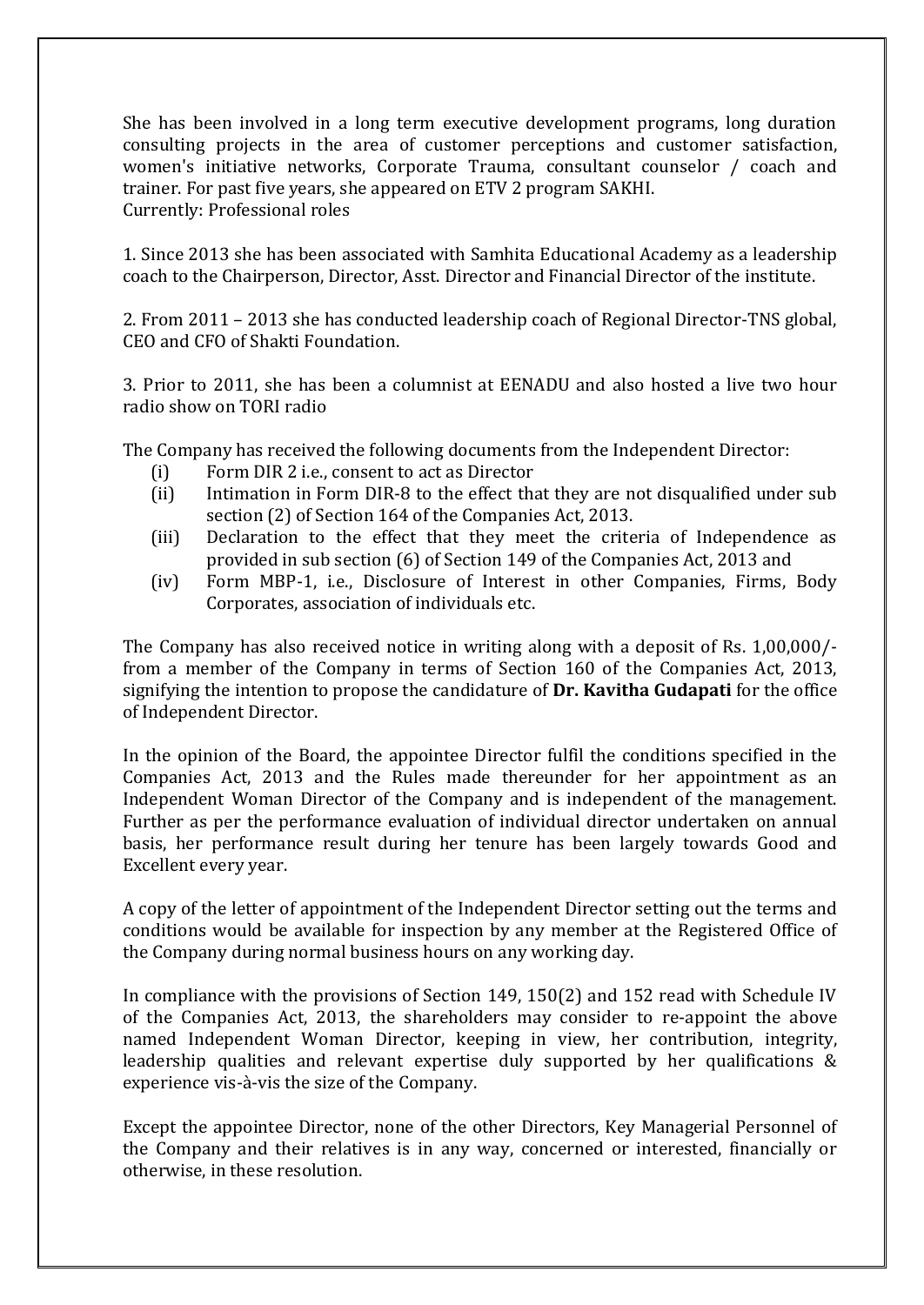She has been involved in a long term executive development programs, long duration consulting projects in the area of customer perceptions and customer satisfaction, women's initiative networks, Corporate Trauma, consultant counselor / coach and trainer. For past five years, she appeared on ETV 2 program SAKHI. Currently: Professional roles

1. Since 2013 she has been associated with Samhita Educational Academy as a leadership coach to the Chairperson, Director, Asst. Director and Financial Director of the institute.

2. From 2011 – 2013 she has conducted leadership coach of Regional Director-TNS global, CEO and CFO of Shakti Foundation.

3. Prior to 2011, she has been a columnist at EENADU and also hosted a live two hour radio show on TORI radio

The Company has received the following documents from the Independent Director:

- (i) Form DIR 2 i.e., consent to act as Director
- (ii) Intimation in Form DIR-8 to the effect that they are not disqualified under sub section (2) of Section 164 of the Companies Act, 2013.
- (iii) Declaration to the effect that they meet the criteria of Independence as provided in sub section (6) of Section 149 of the Companies Act, 2013 and
- (iv) Form MBP-1, i.e., Disclosure of Interest in other Companies, Firms, Body Corporates, association of individuals etc.

The Company has also received notice in writing along with a deposit of Rs. 1,00,000/ from a member of the Company in terms of Section 160 of the Companies Act, 2013, signifying the intention to propose the candidature of **Dr. Kavitha Gudapati** for the office of Independent Director.

In the opinion of the Board, the appointee Director fulfil the conditions specified in the Companies Act, 2013 and the Rules made thereunder for her appointment as an Independent Woman Director of the Company and is independent of the management. Further as per the performance evaluation of individual director undertaken on annual basis, her performance result during her tenure has been largely towards Good and Excellent every year.

A copy of the letter of appointment of the Independent Director setting out the terms and conditions would be available for inspection by any member at the Registered Office of the Company during normal business hours on any working day.

In compliance with the provisions of Section 149, 150(2) and 152 read with Schedule IV of the Companies Act, 2013, the shareholders may consider to re-appoint the above named Independent Woman Director, keeping in view, her contribution, integrity, leadership qualities and relevant expertise duly supported by her qualifications & experience vis-à-vis the size of the Company.

Except the appointee Director, none of the other Directors, Key Managerial Personnel of the Company and their relatives is in any way, concerned or interested, financially or otherwise, in these resolution.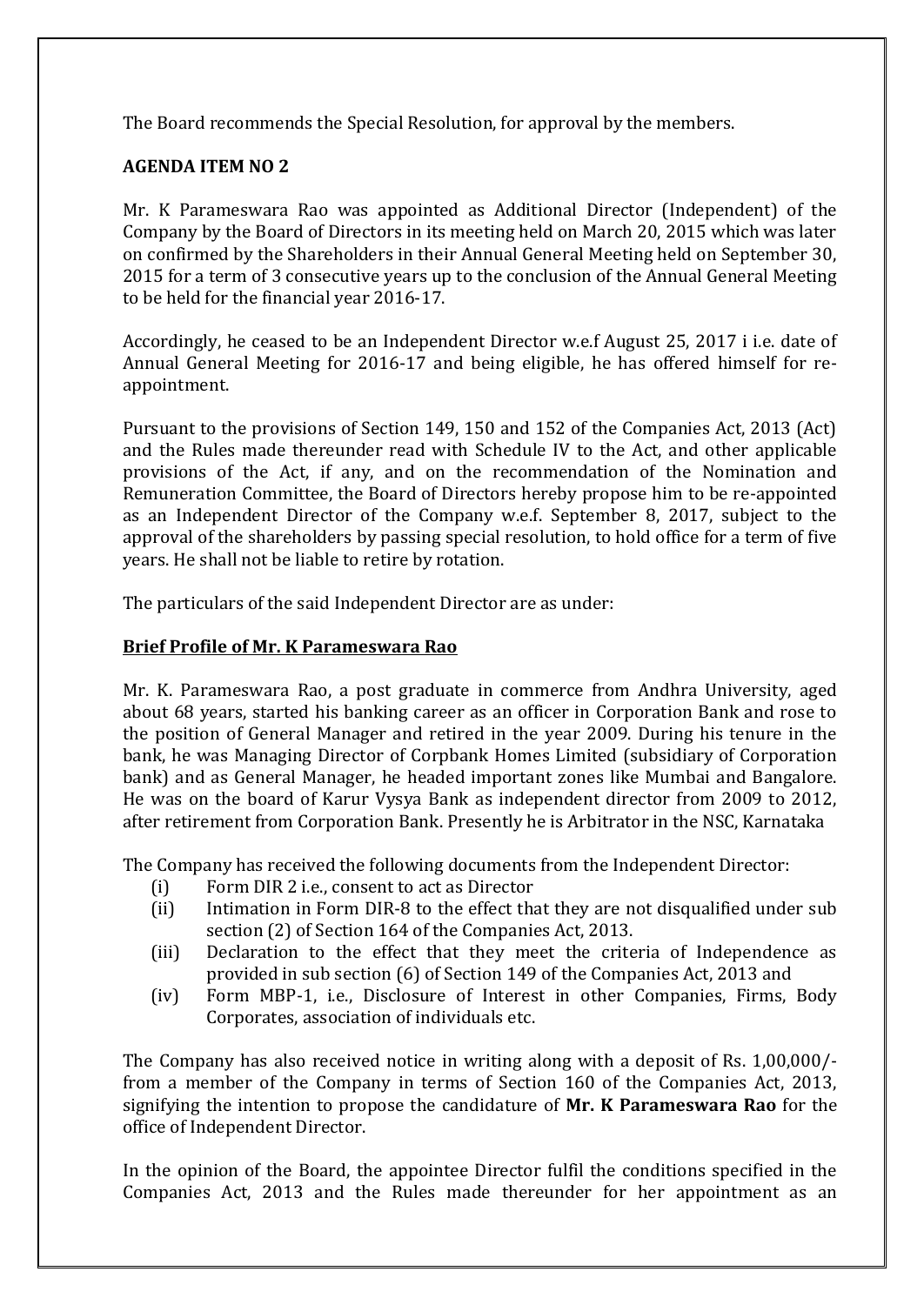The Board recommends the Special Resolution, for approval by the members.

# **AGENDA ITEM NO 2**

Mr. K Parameswara Rao was appointed as Additional Director (Independent) of the Company by the Board of Directors in its meeting held on March 20, 2015 which was later on confirmed by the Shareholders in their Annual General Meeting held on September 30, 2015 for a term of 3 consecutive years up to the conclusion of the Annual General Meeting to be held for the financial year 2016-17.

Accordingly, he ceased to be an Independent Director w.e.f August 25, 2017 i i.e. date of Annual General Meeting for 2016-17 and being eligible, he has offered himself for reappointment.

Pursuant to the provisions of Section 149, 150 and 152 of the Companies Act, 2013 (Act) and the Rules made thereunder read with Schedule IV to the Act, and other applicable provisions of the Act, if any, and on the recommendation of the Nomination and Remuneration Committee, the Board of Directors hereby propose him to be re-appointed as an Independent Director of the Company w.e.f. September 8, 2017, subject to the approval of the shareholders by passing special resolution, to hold office for a term of five years. He shall not be liable to retire by rotation.

The particulars of the said Independent Director are as under:

# **Brief Profile of Mr. K Parameswara Rao**

Mr. K. Parameswara Rao, a post graduate in commerce from Andhra University, aged about 68 years, started his banking career as an officer in Corporation Bank and rose to the position of General Manager and retired in the year 2009. During his tenure in the bank, he was Managing Director of Corpbank Homes Limited (subsidiary of Corporation bank) and as General Manager, he headed important zones like Mumbai and Bangalore. He was on the board of Karur Vysya Bank as independent director from 2009 to 2012, after retirement from Corporation Bank. Presently he is Arbitrator in the NSC, Karnataka

The Company has received the following documents from the Independent Director:

- (i) Form DIR 2 i.e., consent to act as Director
- (ii) Intimation in Form DIR-8 to the effect that they are not disqualified under sub section (2) of Section 164 of the Companies Act, 2013.
- (iii) Declaration to the effect that they meet the criteria of Independence as provided in sub section (6) of Section 149 of the Companies Act, 2013 and
- (iv) Form MBP-1, i.e., Disclosure of Interest in other Companies, Firms, Body Corporates, association of individuals etc.

The Company has also received notice in writing along with a deposit of Rs. 1,00,000/ from a member of the Company in terms of Section 160 of the Companies Act, 2013, signifying the intention to propose the candidature of **Mr. K Parameswara Rao** for the office of Independent Director.

In the opinion of the Board, the appointee Director fulfil the conditions specified in the Companies Act, 2013 and the Rules made thereunder for her appointment as an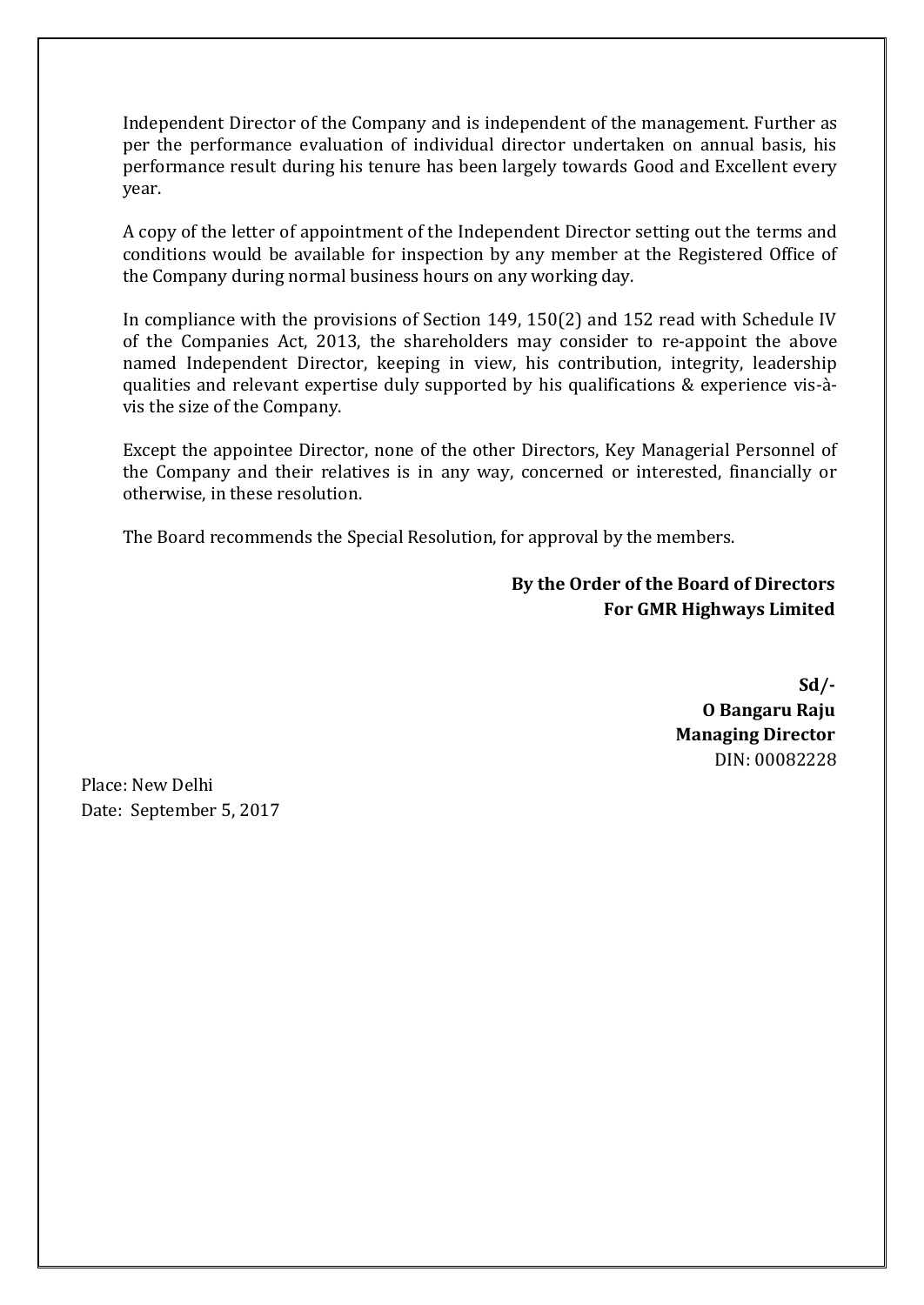Independent Director of the Company and is independent of the management. Further as per the performance evaluation of individual director undertaken on annual basis, his performance result during his tenure has been largely towards Good and Excellent every year.

A copy of the letter of appointment of the Independent Director setting out the terms and conditions would be available for inspection by any member at the Registered Office of the Company during normal business hours on any working day.

In compliance with the provisions of Section 149, 150(2) and 152 read with Schedule IV of the Companies Act, 2013, the shareholders may consider to re-appoint the above named Independent Director, keeping in view, his contribution, integrity, leadership qualities and relevant expertise duly supported by his qualifications & experience vis-àvis the size of the Company.

Except the appointee Director, none of the other Directors, Key Managerial Personnel of the Company and their relatives is in any way, concerned or interested, financially or otherwise, in these resolution.

The Board recommends the Special Resolution, for approval by the members.

**By the Order of the Board of Directors For GMR Highways Limited**

> **Sd/- O Bangaru Raju Managing Director** DIN: 00082228

Place: New Delhi Date: September 5, 2017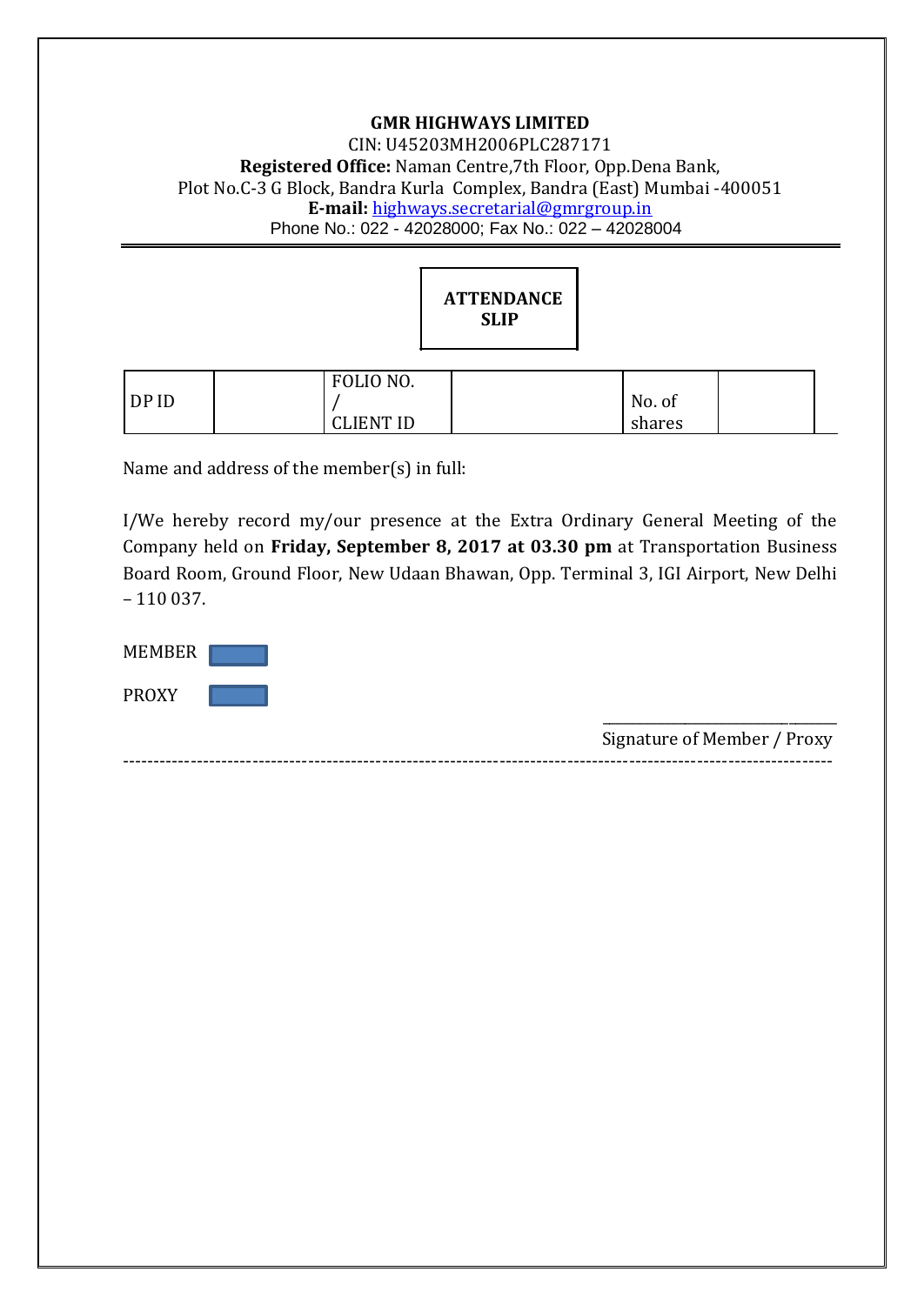## **GMR HIGHWAYS LIMITED** CIN: U45203MH2006PLC287171 **Registered Office:** Naman Centre,7th Floor, Opp.Dena Bank, Plot No.C-3 G Block, Bandra Kurla Complex, Bandra (East) Mumbai -400051 **E-mail:** [highways.secretarial@gmrgroup.in](mailto:highways.secretarial@gmrgroup.in) Phone No.: 022 - 42028000; Fax No.: 022 – 42028004



|       | FOLIO NO.        |        |  |
|-------|------------------|--------|--|
| DP ID |                  | No. of |  |
|       | <b>CLIENT ID</b> | shares |  |

Name and address of the member(s) in full:

I/We hereby record my/our presence at the Extra Ordinary General Meeting of the Company held on **Friday, September 8, 2017 at 03.30 pm** at Transportation Business Board Room, Ground Floor, New Udaan Bhawan, Opp. Terminal 3, IGI Airport, New Delhi – 110 037.

| <b>MEMBER</b> |                             |
|---------------|-----------------------------|
| <b>PROXY</b>  | Signature of Member / Proxy |

-------------------------------------------------------------------------------------------------------------------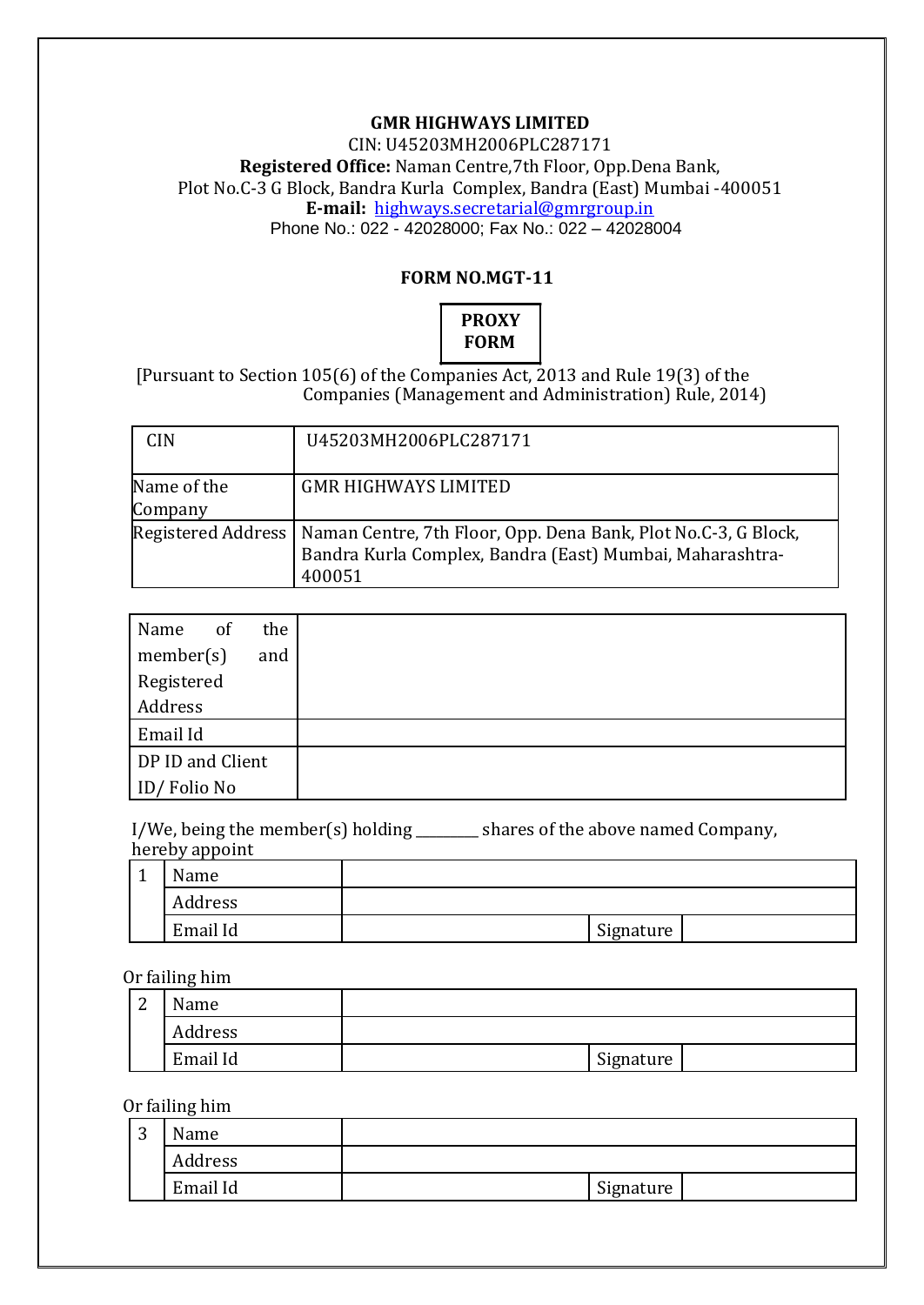## **GMR HIGHWAYS LIMITED**

CIN: U45203MH2006PLC287171 **Registered Office:** Naman Centre,7th Floor, Opp.Dena Bank, Plot No.C-3 G Block, Bandra Kurla Complex, Bandra (East) Mumbai -400051 **E-mail:** [highways.secretarial@gmrgroup.in](mailto:highways.secretarial@gmrgroup.in) Phone No.: 022 - 42028000; Fax No.: 022 – 42028004

## **FORM NO.MGT-11**



# [Pursuant to Section 105(6) of the Companies Act, 2013 and Rule 19(3) of the Companies (Management and Administration) Rule, 2014)

| <b>CIN</b>             | U45203MH2006PLC287171                                                                                                                                     |
|------------------------|-----------------------------------------------------------------------------------------------------------------------------------------------------------|
| Name of the<br>Company | <b>GMR HIGHWAYS LIMITED</b>                                                                                                                               |
|                        | Registered Address   Naman Centre, 7th Floor, Opp. Dena Bank, Plot No.C-3, G Block,<br>Bandra Kurla Complex, Bandra (East) Mumbai, Maharashtra-<br>400051 |

| Name             | of | the |
|------------------|----|-----|
| member(s)        |    | and |
| Registered       |    |     |
| Address          |    |     |
| Email Id         |    |     |
| DP ID and Client |    |     |
| ID/Folio No      |    |     |

I/We, being the member(s) holding \_\_\_\_\_\_\_\_\_ shares of the above named Company, hereby appoint

| <b>BT</b><br>Name |           |  |
|-------------------|-----------|--|
| Address           |           |  |
| Email Id          | Signature |  |

#### Or failing him

| $\sqrt{2}$<br>▵ | Name     |           |  |
|-----------------|----------|-----------|--|
|                 | Address  |           |  |
|                 | Email Id | Signature |  |

## Or failing him

| ◠<br>ت | Name     |           |  |
|--------|----------|-----------|--|
|        | Address  |           |  |
|        | Email Id | Signature |  |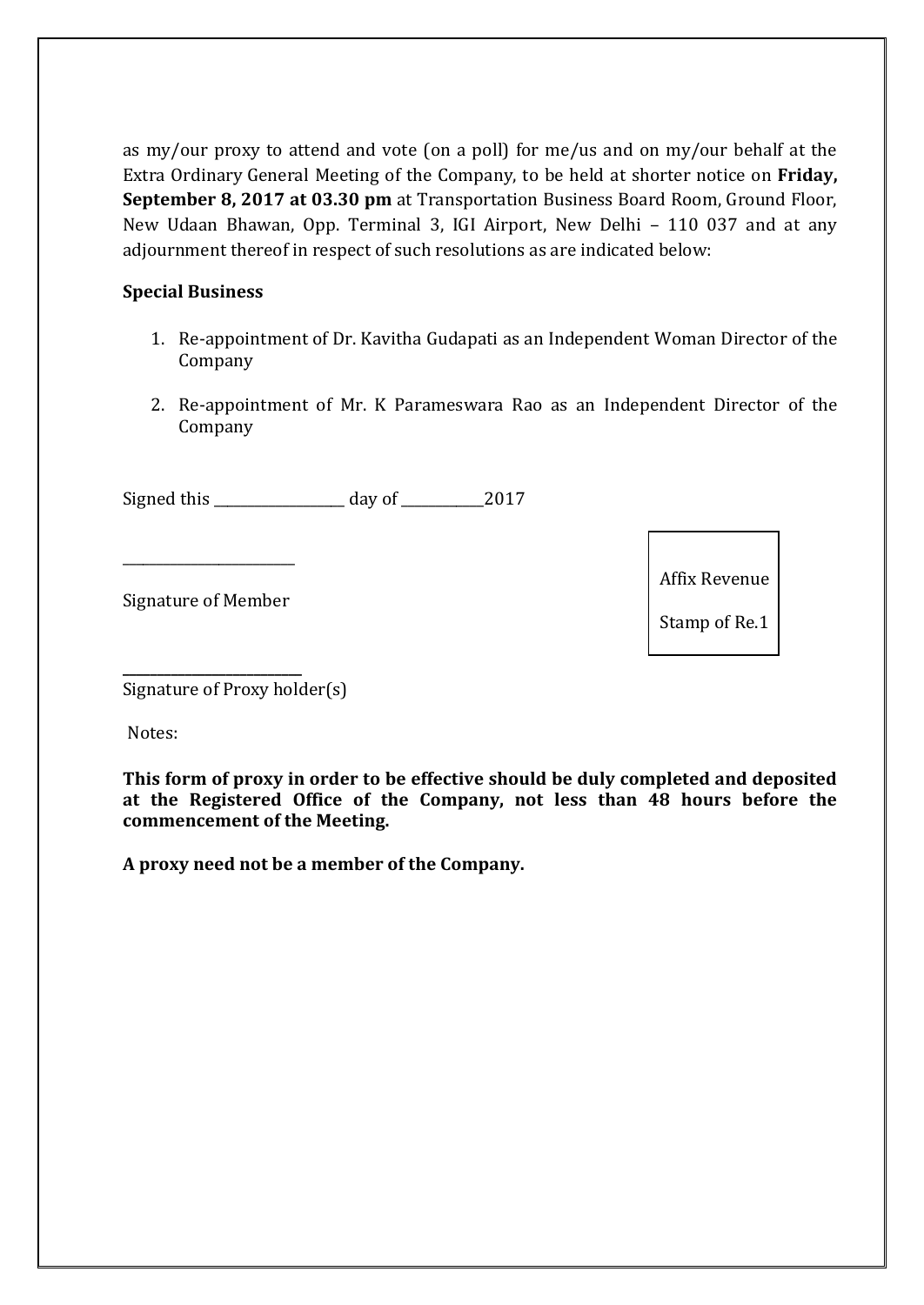as my/our proxy to attend and vote (on a poll) for me/us and on my/our behalf at the Extra Ordinary General Meeting of the Company, to be held at shorter notice on **Friday, September 8, 2017 at 03.30 pm** at Transportation Business Board Room, Ground Floor, New Udaan Bhawan, Opp. Terminal 3, IGI Airport, New Delhi – 110 037 and at any adjournment thereof in respect of such resolutions as are indicated below:

# **Special Business**

- 1. Re-appointment of Dr. Kavitha Gudapati as an Independent Woman Director of the Company
- 2. Re-appointment of Mr. K Parameswara Rao as an Independent Director of the Company

Signed this \_\_\_\_\_\_\_\_\_\_\_\_\_\_\_\_\_\_\_ day of \_\_\_\_\_\_\_\_\_\_\_\_2017

Signature of Member

**\_\_\_\_\_\_\_\_\_\_\_\_\_\_\_\_\_\_\_\_\_\_\_\_\_\_**

\_\_\_\_\_\_\_\_\_\_\_\_\_\_\_\_\_\_\_\_\_\_\_\_\_

Affix Revenue

Stamp of Re.1

Signature of Proxy holder(s)

Notes:

**This form of proxy in order to be effective should be duly completed and deposited at the Registered Office of the Company, not less than 48 hours before the commencement of the Meeting.** 

**A proxy need not be a member of the Company.**